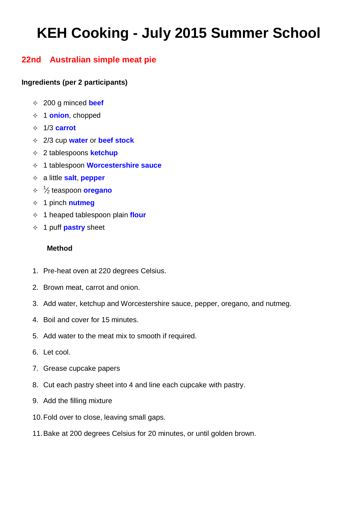# **KEH Cooking - July 2015 Summer School**

## **22nd Australian simple meat pie**

### **Ingredients (per 2 participants)**

- 200 g [minced](http://www.food.com/about/beef-199) **beef**
- 1 **[onion](http://www.food.com/about/onion-148)**, chopped
- 1/3 **carrot**
- 2/3 cup **[water](http://www.food.com/about/water-459)** or **beef stock**
- [2 tablespoons](http://www.food.com/about/ketchup-156) **ketchup**
- 1 tablespoon **[Worcestershire sauce](http://www.food.com/about/worcestershire-sauce-176)**
- a little **salt**, **[pepper](http://www.food.com/about/pepper-337)**
- 1 ⁄<sup>2</sup> teaspoon **[oregano](http://www.food.com/about/oregano-334)**
- 1 pinch **[nutmeg](http://www.food.com/about/nutmeg-333)**
- 1 heaped tablespoon [plain](http://www.food.com/about/flour-64) **flour**
- 1 puff **[pastry](http://www.food.com/about/puff-pastry-527)** sheet

#### **Method**

- 1. Pre-heat oven at 220 degrees Celsius.
- 2. Brown meat, carrot and onion.
- 3. Add water, ketchup and Worcestershire sauce, pepper, oregano, and nutmeg.
- 4. Boil and cover for 15 minutes.
- 5. Add water to the meat mix to smooth if required.
- 6. Let cool.
- 7. Grease cupcake papers
- 8. Cut each pastry sheet into 4 and line each cupcake with pastry.
- 9. Add the filling mixture
- 10.Fold over to close, leaving small gaps.
- 11.Bake at 200 degrees Celsius for 20 minutes, or until golden brown.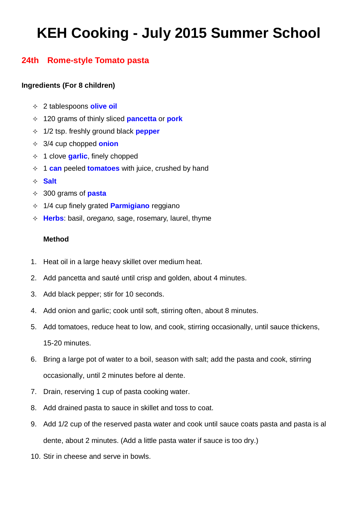# **KEH Cooking - July 2015 Summer School**

## **24th Rome-style Tomato pasta**

### **Ingredients (For 8 children)**

- 2 tablespoons **olive oil**
- 120 grams of thinly sliced **pancetta** or **pork**
- 1/2 tsp. freshly ground black **pepper**
- 3/4 cup chopped **onion**
- 1 clove **garlic**, finely chopped
- 1 **can** peeled **tomatoes** with juice, crushed by hand
- **Salt**
- 300 grams of **pasta**
- 1/4 cup finely grated **Parmigiano** reggiano
- **Herbs**: basil, o*regano,* sage, rosemary, laurel, thyme

### **Method**

- 1. Heat oil in a large heavy skillet over medium heat.
- 2. Add pancetta and sauté until crisp and golden, about 4 minutes.
- 3. Add black pepper; stir for 10 seconds.
- 4. Add onion and garlic; cook until soft, stirring often, about 8 minutes.
- 5. Add tomatoes, reduce heat to low, and cook, stirring occasionally, until sauce thickens, 15-20 minutes.
- 6. Bring a large pot of water to a boil, season with salt; add the pasta and cook, stirring occasionally, until 2 minutes before al dente.
- 7. Drain, reserving 1 cup of pasta cooking water.
- 8. Add drained pasta to sauce in skillet and toss to coat.
- 9. Add 1/2 cup of the reserved pasta water and cook until sauce coats pasta and pasta is al dente, about 2 minutes. (Add a little pasta water if sauce is too dry.)
- 10. Stir in cheese and serve in bowls.